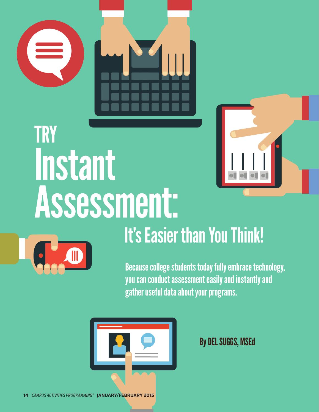



# It's Easier than You Think!

Because college students today fully embrace technology, you can conduct assessment easily and instantly and gather useful data about your programs.



By DEL SUGGS, MSEd

**14** *CAMPUS ACTIVITIES PROGRAMMING®* **JANUARY/FEBRUARY 2015**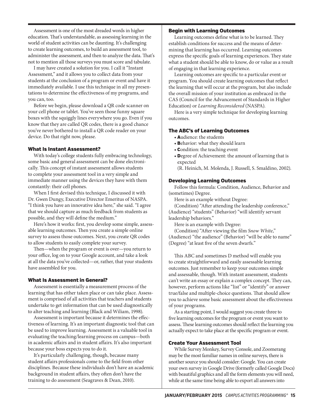Assessment is one of the most dreaded words in higher education. That's understandable, as assessing learning in the world of student activities can be daunting. It's challenging to create learning outcomes, to build an assessment tool, to administer the assessment, and then to analyze the data. That's not to mention all those surveys you must score and tabulate.

I may have created a solution for you. I call it "Instant Assessment," and it allows you to collect data from your students at the conclusion of a program or event and have it immediately available. I use this technique in all my presentations to determine the effectiveness of my programs, and you can, too.

Before we begin, please download a QR code scanner on your cell phone or tablet. You've seen those funny square boxes with the squiggly lines everywhere you go. Even if you know that they are called QR codes, there is a good chance you've never bothered to install a QR code reader on your device. Do that right now, please.

## What Is Instant Assessment?

With today's college students fully embracing technology, some basic and general assessment can be done electronically. This concept of instant assessment allows students to complete your assessment tool in a very simple and immediate manner using the devices they have with them constantly: their cell phones.

When I first devised this technique, I discussed it with Dr. Gwen Dungy, Executive Director Emeritus of NASPA. "I think you have an innovative idea here," she said. "I agree that we should capture as much feedback from students as possible, and they will define the medium."

Here's how it works: first, you develop some simple, assessable learning outcomes. Then you create a simple online survey to assess those outcomes. Next, you create QR codes to allow students to easily complete your survey.

Then—when the program or event is over—you return to your office, log on to your Google account, and take a look at all the data you've collected—or, rather, that your students have assembled for you.

# What Is Assessment in General?

Assessment is essentially a measurement process of the learning that has either taken place or can take place. Assessment is comprised of all activities that teachers and students undertake to get information that can be used diagnostically to alter teaching and learning (Black and Wiliam, 1998).

Assessment is important because it determines the effectiveness of learning. It's an important diagnostic tool that can be used to improve learning. Assessment is a valuable tool in evaluating the teaching/learning process on campus—both in academic affairs and in student affairs. It's also important because your boss expects you to do it.

It's particularly challenging, though, because many student affairs professionals come to the field from other disciplines. Because these individuals don't have an academic background in student affairs, they often don't have the training to do assessment (Seagraves & Dean, 2010).

# Begin with Learning Outcomes

Learning outcomes define what is to be learned. They establish conditions for success and the means of determining that learning has occurred. Learning outcomes express the specific goals of learning experiences. They state what a student should be able to know, do or value as a result of engaging in that learning experience.

Learning outcomes are specific to a particular event or program. You should create learning outcomes that reflect the learning that will occur at the program, but also include the overall mission of your institution as embraced in the CAS (Council for the Advancement of Standards in Higher Education) or *Learning Reconsidered* (NASPA).

Here is a very simple technique for developing learning outcomes.

# The ABC's of Learning Outcomes

- Audience: the students
- Behavior: what they should learn
- Condition: the teaching event
- Degree of Achievement: the amount of learning that is expected
- (R. Heinich, M. Molenda, J. Russell, S. Smaldino, 2002).

# Developing Learning Outcomes

Follow this formula: Condition, Audience, Behavior and (sometimes) Degree.

Here is an example without Degree:

(Condition) "After attending the leadership conference," (Audience) "students" (Behavior) "will identify servant leadership behaviors."

Here is an example with Degree:

(Condition) "After viewing the film *Snow White*," (Audience) "the audience" (Behavior) "will be able to name" (Degree) "at least five of the seven dwarfs."

This ABC and sometimes D method will enable you to create straightforward and easily assessable learning outcomes. Just remember to keep your outcomes simple and assessable, though. With instant assessment, students can't write an essay or explain a complex concept. They can, however, perform actions like "list" or "identify" or answer true/false and multiple-choice questions. That should allow you to achieve some basic assessment about the effectiveness of your programs.

As a starting point, I would suggest you create three to five learning outcomes for the program or event you want to assess. These learning outcomes should reflect the learning you actually expect to take place at the specific program or event.

# Create Your Assessment Tool

While Survey Monkey, Survey Console, and Zoomerang may be the most familiar names in online surveys, there is another source you should consider: Google. You can create your own survey in Google Drive (formerly called Google Docs) with beautiful graphics and all the form elements you will need, while at the same time being able to export all answers into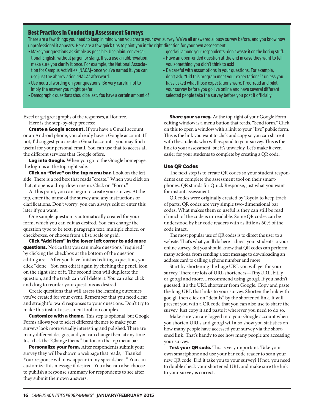#### Excel or get great graphs of the responses, all for free. Here is the step-by-step process: **Create a Google account.** If you have a Gmail account or an Android phone, you already have a Google account. If not, I'd suggest you create a Gmail account—you may find it useful for your personal email. You can use that to access all the different services that Google offers. Log into Google. When you go to the Google homepage, the login is at the top right side. Click on "Drive" on the top menu bar. Look on the left side. There is a red box that reads "create." When you click on that, it opens a drop-down menu. Click on "Form." At this point, you can begin to create your survey. At the top, enter the name of the survey and any instructions or clarifications. Don't worry: you can always edit or enter this later if you want. One sample question is automatically created for your form, which you can edit as desired. You can change the question type to be text, paragraph text, multiple choice, or checkboxes, or choose from a list, scale or grid. Click "Add Item" in the lower left corner to add more questions. Notice that you can make questions "required" by clicking the checkbox at the bottom of the question **Share your survey.** At the top right of your Google Form editing window is a menu button that reads, "Send form." Click on this to open a window with a link to your "live" public form. This is the link you want to click and copy so you can share it with the students who will respond to your survey. This is the link to your assessment, but it's unwieldy. Let's make it even easier for your students to complete by creating a QR code. Use QR Codes The next step is to create QR codes so your student respondents can complete the assessment tool on their smartphones. QR stands for Quick Response, just what you want for instant assessment. QR codes were originally created by Toyota to keep track of parts. QR codes are very simple two-dimensional bar codes. What makes them so useful is they can still be read if much of the code is unreadable. Some QR codes can be understood by bar code readers with as little as 60% of the code intact. The most popular use of QR codes is to direct the user to a website. That's what you'll do here—direct your students to your online survey. But you should know that QR codes can perform many actions, from sending a text message to downloading an Best Practices in Conducting Assessment Surveys There are a few things you need to keep in mind when you create your own survey. We've all answered a lousy survey before, and you know how unprofessional it appears. Here are a few quick tips to point you in the right direction for your own assessment. • Make your questions as simple as possible. Use plain, conversational English, without jargon or slang. If you use an abbreviation, make sure you clarify it once. For example, the National Association for Campus Activities (NACA)—once you've named it, you can use just the abbreviation "NACA" afterward. • Use neutral wording on your questions. Be very careful not to imply the answer you might prefer. • Demographic questions should be last. You have a certain amount of goodwill among your respondents—don't waste it on the boring stuff. • Have an open-ended question at the end in case they want to tell you something you didn't think to ask! • Be careful with assumptions in your questions. For example, don't ask, "Did this program meet your expectations?" unless you have asked what those expectations were. Proofread and pilot your survey before you go live online and have several different selected people take the survey before you post it officially.

address card to calling a phone number and more. Start by shortening the huge URL you will get for your survey. There are lots of URL shorteners—TinyURL, bit.ly or goo.gl and more. I recommend using goo.gl. If you hadn't guessed, it's the URL shortener from Google. Copy and paste the long URL that links to your survey. Shorten the link with goo.gl, then click on "details" by the shortened link. It will present you with a QR code that you can also use to share the survey. Just copy it and paste it wherever you need to do so.

Make sure you are logged into your Google account when you shorten URLs and goo.gl will also show you statistics on how many people have accessed your survey via the shortened link. That's handy to see how many people are accessing your survey.

Test your QR code. This is very important. Take your own smartphone and use your bar code reader to scan your new QR code. Did it take you to your survey? If not, you need to double check your shortened URL and make sure the link to your survey is correct.

editing area. After you have finished editing a question, you click "done." You can edit it again by clicking the pencil icon on the right side of it. The second icon will duplicate the question, and the trash can will delete it. You can also click

Create questions that will assess the learning outcomes you've created for your event. Remember that you need clear and straightforward responses to your questions. Don't try to

**Customize with a theme.** This step is optional, but Google

Forms allows you to select different themes to make your surveys look more visually interesting and polished. There are many different designs, and you can change them at any time. Just click the "Change theme" button on the top menu bar. Personalize your form. After respondents submit your survey they will be shown a webpage that reads, "Thanks! Your response will now appear in my spreadsheet." You can customize this message if desired. You also can also choose to publish a response summary for respondents to see after

and drag to reorder your questions as desired.

make this instant assessment tool too complex.

they submit their own answers.